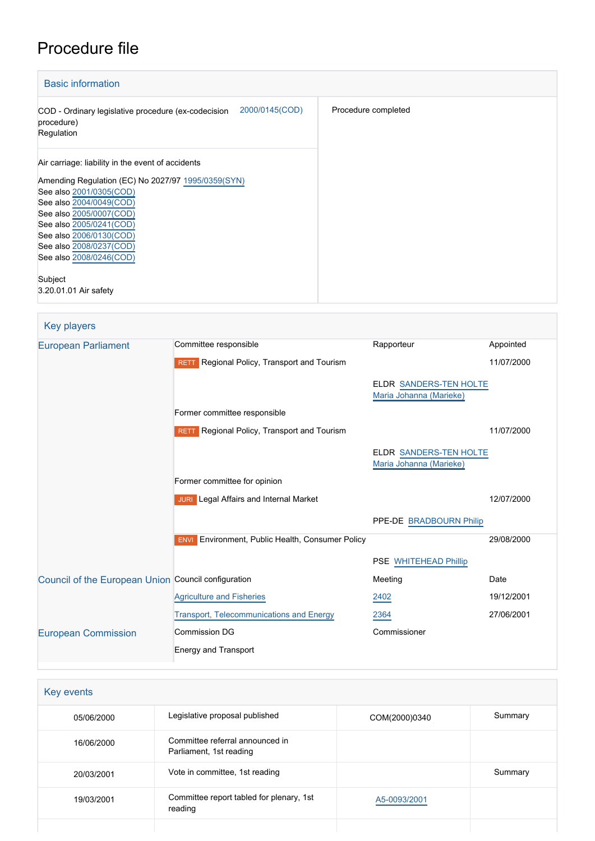# Procedure file

| <b>Basic information</b>                                                                          |                     |  |  |
|---------------------------------------------------------------------------------------------------|---------------------|--|--|
| 2000/0145(COD)<br>COD - Ordinary legislative procedure (ex-codecision<br>procedure)<br>Regulation | Procedure completed |  |  |
| Air carriage: liability in the event of accidents                                                 |                     |  |  |
| Amending Regulation (EC) No 2027/97 1995/0359(SYN)                                                |                     |  |  |
| See also 2001/0305(COD)                                                                           |                     |  |  |
| See also 2004/0049(COD)                                                                           |                     |  |  |
| See also 2005/0007(COD)                                                                           |                     |  |  |
| See also 2005/0241(COD)                                                                           |                     |  |  |
| See also 2006/0130(COD)                                                                           |                     |  |  |
| See also 2008/0237(COD)                                                                           |                     |  |  |
| See also 2008/0246(COD)                                                                           |                     |  |  |
| Subject                                                                                           |                     |  |  |
| 3.20.01.01 Air safety                                                                             |                     |  |  |

| Key players                                         |                                                            |                                                          |            |
|-----------------------------------------------------|------------------------------------------------------------|----------------------------------------------------------|------------|
| <b>European Parliament</b>                          | Committee responsible                                      | Rapporteur                                               | Appointed  |
|                                                     | Regional Policy, Transport and Tourism<br><b>RETT</b>      |                                                          | 11/07/2000 |
|                                                     |                                                            | <b>ELDR SANDERS-TEN HOLTE</b><br>Maria Johanna (Marieke) |            |
|                                                     | Former committee responsible                               |                                                          |            |
|                                                     | RETT Regional Policy, Transport and Tourism                |                                                          | 11/07/2000 |
|                                                     |                                                            | <b>ELDR SANDERS-TEN HOLTE</b><br>Maria Johanna (Marieke) |            |
|                                                     | Former committee for opinion                               |                                                          |            |
|                                                     | <b>JURI</b> Legal Affairs and Internal Market              |                                                          | 12/07/2000 |
|                                                     |                                                            | PPE-DE BRADBOURN Philip                                  |            |
|                                                     | Environment, Public Health, Consumer Policy<br><b>ENVI</b> |                                                          | 29/08/2000 |
|                                                     |                                                            | PSE WHITEHEAD Phillip                                    |            |
| Council of the European Union Council configuration |                                                            | Meeting                                                  | Date       |
|                                                     | <b>Agriculture and Fisheries</b>                           | 2402                                                     | 19/12/2001 |
|                                                     | <b>Transport, Telecommunications and Energy</b>            | 2364                                                     | 27/06/2001 |
| <b>European Commission</b>                          | <b>Commission DG</b>                                       | Commissioner                                             |            |
|                                                     | <b>Energy and Transport</b>                                |                                                          |            |

| Key events |                                                            |               |         |  |  |
|------------|------------------------------------------------------------|---------------|---------|--|--|
| 05/06/2000 | Legislative proposal published                             | COM(2000)0340 | Summary |  |  |
| 16/06/2000 | Committee referral announced in<br>Parliament, 1st reading |               |         |  |  |
| 20/03/2001 | Vote in committee, 1st reading                             |               | Summary |  |  |
| 19/03/2001 | Committee report tabled for plenary, 1st<br>reading        | A5-0093/2001  |         |  |  |
|            |                                                            |               |         |  |  |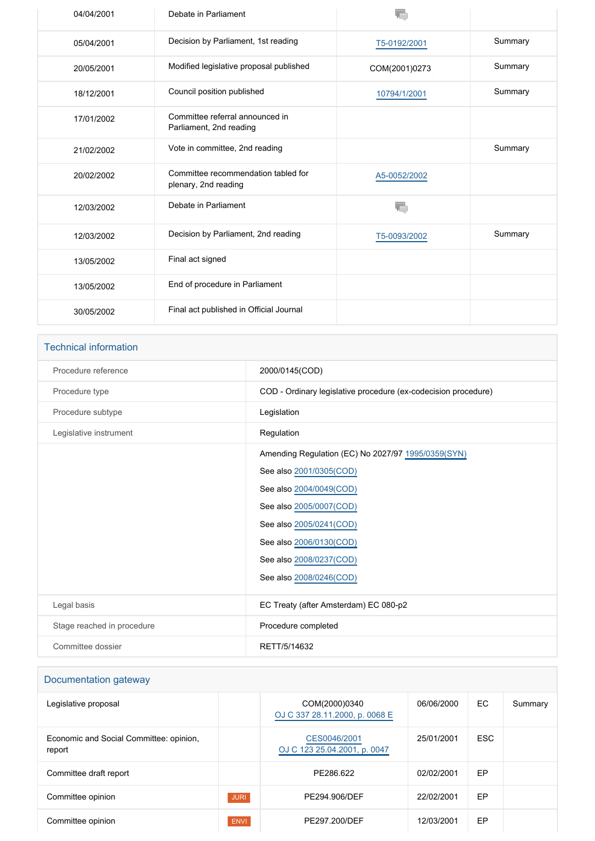| 04/04/2001 | Debate in Parliament                                        |               |         |
|------------|-------------------------------------------------------------|---------------|---------|
| 05/04/2001 | Decision by Parliament, 1st reading                         | T5-0192/2001  | Summary |
| 20/05/2001 | Modified legislative proposal published                     | COM(2001)0273 | Summary |
| 18/12/2001 | Council position published                                  | 10794/1/2001  | Summary |
| 17/01/2002 | Committee referral announced in<br>Parliament, 2nd reading  |               |         |
| 21/02/2002 | Vote in committee, 2nd reading                              |               | Summary |
| 20/02/2002 | Committee recommendation tabled for<br>plenary, 2nd reading | A5-0052/2002  |         |
| 12/03/2002 | Debate in Parliament                                        |               |         |
| 12/03/2002 | Decision by Parliament, 2nd reading                         | T5-0093/2002  | Summary |
| 13/05/2002 | Final act signed                                            |               |         |
| 13/05/2002 | End of procedure in Parliament                              |               |         |
| 30/05/2002 | Final act published in Official Journal                     |               |         |

| <b>Technical information</b> |                                                                |
|------------------------------|----------------------------------------------------------------|
| Procedure reference          | 2000/0145(COD)                                                 |
| Procedure type               | COD - Ordinary legislative procedure (ex-codecision procedure) |
| Procedure subtype            | Legislation                                                    |
| Legislative instrument       | Regulation                                                     |
|                              | Amending Regulation (EC) No 2027/97 1995/0359(SYN)             |
|                              | See also 2001/0305(COD)                                        |
|                              | See also 2004/0049(COD)                                        |
|                              | See also 2005/0007(COD)                                        |
|                              | See also 2005/0241(COD)                                        |
|                              | See also 2006/0130(COD)                                        |
|                              | See also 2008/0237(COD)                                        |
|                              | See also 2008/0246(COD)                                        |
| Legal basis                  | EC Treaty (after Amsterdam) EC 080-p2                          |
| Stage reached in procedure   | Procedure completed                                            |
| Committee dossier            | RETT/5/14632                                                   |

| Documentation gateway                             |             |                                                 |            |            |         |
|---------------------------------------------------|-------------|-------------------------------------------------|------------|------------|---------|
| Legislative proposal                              |             | COM(2000)0340<br>OJ C 337 28.11.2000, p. 0068 E | 06/06/2000 | EC         | Summary |
| Economic and Social Committee: opinion.<br>report |             | CES0046/2001<br>OJ C 123 25.04.2001, p. 0047    | 25/01/2001 | <b>ESC</b> |         |
| Committee draft report                            |             | PE286.622                                       | 02/02/2001 | EP         |         |
| Committee opinion                                 | <b>JURI</b> | PE294.906/DEF                                   | 22/02/2001 | EP         |         |
| Committee opinion                                 | <b>ENVI</b> | PE297.200/DEF                                   | 12/03/2001 | EP         |         |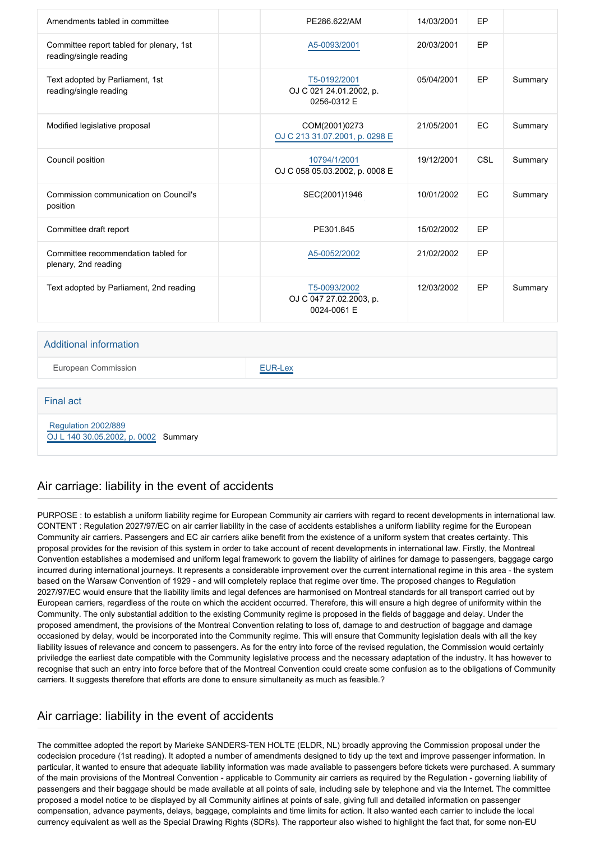| Amendments tabled in committee                                     | PE286.622/AM                                           | 14/03/2001 | EP        |         |
|--------------------------------------------------------------------|--------------------------------------------------------|------------|-----------|---------|
| Committee report tabled for plenary, 1st<br>reading/single reading | A5-0093/2001                                           | 20/03/2001 | EP        |         |
| Text adopted by Parliament, 1st<br>reading/single reading          | T5-0192/2001<br>OJ C 021 24.01.2002, p.<br>0256-0312 E | 05/04/2001 | EP        | Summary |
| Modified legislative proposal                                      | COM(2001)0273<br>OJ C 213 31.07.2001, p. 0298 E        | 21/05/2001 | <b>EC</b> | Summary |
| Council position                                                   | 10794/1/2001<br>OJ C 058 05.03.2002, p. 0008 E         | 19/12/2001 | CSL       | Summary |
| Commission communication on Council's<br>position                  | SEC(2001)1946                                          | 10/01/2002 | EC        | Summary |
| Committee draft report                                             | PE301.845                                              | 15/02/2002 | EP        |         |
| Committee recommendation tabled for<br>plenary, 2nd reading        | A5-0052/2002                                           | 21/02/2002 | EP        |         |
| Text adopted by Parliament, 2nd reading                            | T5-0093/2002<br>OJ C 047 27.02.2003, p.<br>0024-0061 E | 12/03/2002 | EP        | Summary |

#### Additional information

European Commission **[EUR-Lex](http://ec.europa.eu/prelex/liste_resultats.cfm?CL=en&ReqId=0&DocType=COD&DocYear=2000&DocNum=0145)** 

#### Final act

 [Regulation 2002/889](https://eur-lex.europa.eu/smartapi/cgi/sga_doc?smartapi!celexplus!prod!CELEXnumdoc&lg=EN&numdoc=32002R0889) [OJ L 140 30.05.2002, p. 0002](https://eur-lex.europa.eu/JOHtml.do?uri=OJ:L:2002:140:SOM:EN:HTML) Summary

### Air carriage: liability in the event of accidents

PURPOSE : to establish a uniform liability regime for European Community air carriers with regard to recent developments in international law. CONTENT : Regulation 2027/97/EC on air carrier liability in the case of accidents establishes a uniform liability regime for the European Community air carriers. Passengers and EC air carriers alike benefit from the existence of a uniform system that creates certainty. This proposal provides for the revision of this system in order to take account of recent developments in international law. Firstly, the Montreal Convention establishes a modernised and uniform legal framework to govern the liability of airlines for damage to passengers, baggage cargo incurred during international journeys. It represents a considerable improvement over the current international regime in this area - the system based on the Warsaw Convention of 1929 - and will completely replace that regime over time. The proposed changes to Regulation 2027/97/EC would ensure that the liability limits and legal defences are harmonised on Montreal standards for all transport carried out by European carriers, regardless of the route on which the accident occurred. Therefore, this will ensure a high degree of uniformity within the Community. The only substantial addition to the existing Community regime is proposed in the fields of baggage and delay. Under the proposed amendment, the provisions of the Montreal Convention relating to loss of, damage to and destruction of baggage and damage occasioned by delay, would be incorporated into the Community regime. This will ensure that Community legislation deals with all the key liability issues of relevance and concern to passengers. As for the entry into force of the revised regulation, the Commission would certainly priviledge the earliest date compatible with the Community legislative process and the necessary adaptation of the industry. It has however to recognise that such an entry into force before that of the Montreal Convention could create some confusion as to the obligations of Community carriers. It suggests therefore that efforts are done to ensure simultaneity as much as feasible.?

### Air carriage: liability in the event of accidents

The committee adopted the report by Marieke SANDERS-TEN HOLTE (ELDR, NL) broadly approving the Commission proposal under the codecision procedure (1st reading). It adopted a number of amendments designed to tidy up the text and improve passenger information. In particular, it wanted to ensure that adequate liability information was made available to passengers before tickets were purchased. A summary of the main provisions of the Montreal Convention - applicable to Community air carriers as required by the Regulation - governing liability of passengers and their baggage should be made available at all points of sale, including sale by telephone and via the Internet. The committee proposed a model notice to be displayed by all Community airlines at points of sale, giving full and detailed information on passenger compensation, advance payments, delays, baggage, complaints and time limits for action. It also wanted each carrier to include the local currency equivalent as well as the Special Drawing Rights (SDRs). The rapporteur also wished to highlight the fact that, for some non-EU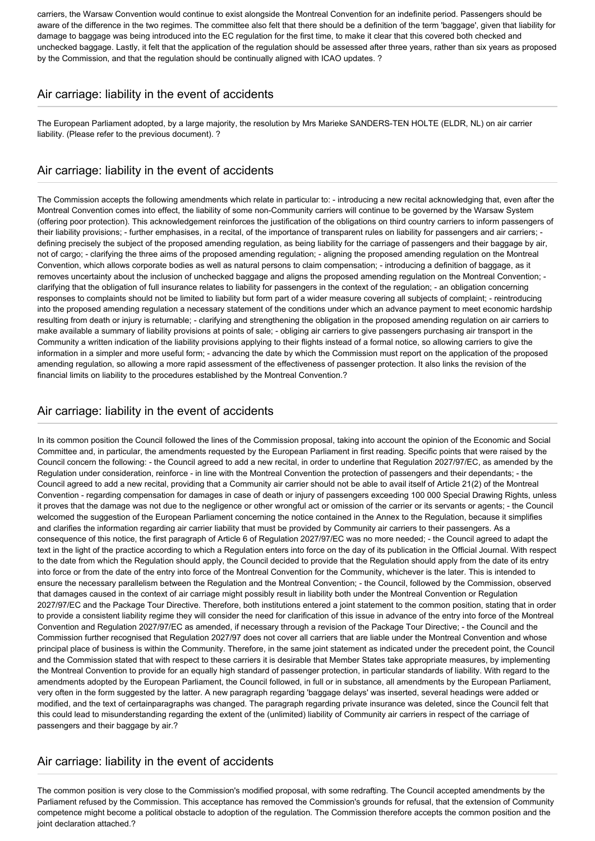carriers, the Warsaw Convention would continue to exist alongside the Montreal Convention for an indefinite period. Passengers should be aware of the difference in the two regimes. The committee also felt that there should be a definition of the term 'baggage', given that liability for damage to baggage was being introduced into the EC regulation for the first time, to make it clear that this covered both checked and unchecked baggage. Lastly, it felt that the application of the regulation should be assessed after three years, rather than six years as proposed by the Commission, and that the regulation should be continually aligned with ICAO updates. ?

## Air carriage: liability in the event of accidents

The European Parliament adopted, by a large majority, the resolution by Mrs Marieke SANDERS-TEN HOLTE (ELDR, NL) on air carrier liability. (Please refer to the previous document). ?

### Air carriage: liability in the event of accidents

The Commission accepts the following amendments which relate in particular to: - introducing a new recital acknowledging that, even after the Montreal Convention comes into effect, the liability of some non-Community carriers will continue to be governed by the Warsaw System (offering poor protection). This acknowledgement reinforces the justification of the obligations on third country carriers to inform passengers of their liability provisions; - further emphasises, in a recital, of the importance of transparent rules on liability for passengers and air carriers; defining precisely the subject of the proposed amending regulation, as being liability for the carriage of passengers and their baggage by air, not of cargo; - clarifying the three aims of the proposed amending regulation; - aligning the proposed amending regulation on the Montreal Convention, which allows corporate bodies as well as natural persons to claim compensation; - introducing a definition of baggage, as it removes uncertainty about the inclusion of unchecked baggage and aligns the proposed amending regulation on the Montreal Convention; clarifying that the obligation of full insurance relates to liability for passengers in the context of the regulation; - an obligation concerning responses to complaints should not be limited to liability but form part of a wider measure covering all subjects of complaint; - reintroducing into the proposed amending regulation a necessary statement of the conditions under which an advance payment to meet economic hardship resulting from death or injury is returnable; - clarifying and strengthening the obligation in the proposed amending regulation on air carriers to make available a summary of liability provisions at points of sale; - obliging air carriers to give passengers purchasing air transport in the Community a written indication of the liability provisions applying to their flights instead of a formal notice, so allowing carriers to give the information in a simpler and more useful form; - advancing the date by which the Commission must report on the application of the proposed amending regulation, so allowing a more rapid assessment of the effectiveness of passenger protection. It also links the revision of the financial limits on liability to the procedures established by the Montreal Convention.?

### Air carriage: liability in the event of accidents

In its common position the Council followed the lines of the Commission proposal, taking into account the opinion of the Economic and Social Committee and, in particular, the amendments requested by the European Parliament in first reading. Specific points that were raised by the Council concern the following: - the Council agreed to add a new recital, in order to underline that Regulation 2027/97/EC, as amended by the Regulation under consideration, reinforce - in line with the Montreal Convention the protection of passengers and their dependants; - the Council agreed to add a new recital, providing that a Community air carrier should not be able to avail itself of Article 21(2) of the Montreal Convention - regarding compensation for damages in case of death or injury of passengers exceeding 100 000 Special Drawing Rights, unless it proves that the damage was not due to the negligence or other wrongful act or omission of the carrier or its servants or agents; - the Council welcomed the suggestion of the European Parliament concerning the notice contained in the Annex to the Regulation, because it simplifies and clarifies the information regarding air carrier liability that must be provided by Community air carriers to their passengers. As a consequence of this notice, the first paragraph of Article 6 of Regulation 2027/97/EC was no more needed; - the Council agreed to adapt the text in the light of the practice according to which a Regulation enters into force on the day of its publication in the Official Journal. With respect to the date from which the Regulation should apply, the Council decided to provide that the Regulation should apply from the date of its entry into force or from the date of the entry into force of the Montreal Convention for the Community, whichever is the later. This is intended to ensure the necessary parallelism between the Regulation and the Montreal Convention; - the Council, followed by the Commission, observed that damages caused in the context of air carriage might possibly result in liability both under the Montreal Convention or Regulation 2027/97/EC and the Package Tour Directive. Therefore, both institutions entered a joint statement to the common position, stating that in order to provide a consistent liability regime they will consider the need for clarification of this issue in advance of the entry into force of the Montreal Convention and Regulation 2027/97/EC as amended, if necessary through a revision of the Package Tour Directive; - the Council and the Commission further recognised that Regulation 2027/97 does not cover all carriers that are liable under the Montreal Convention and whose principal place of business is within the Community. Therefore, in the same joint statement as indicated under the precedent point, the Council and the Commission stated that with respect to these carriers it is desirable that Member States take appropriate measures, by implementing the Montreal Convention to provide for an equally high standard of passenger protection, in particular standards of liability. With regard to the amendments adopted by the European Parliament, the Council followed, in full or in substance, all amendments by the European Parliament, very often in the form suggested by the latter. A new paragraph regarding 'baggage delays' was inserted, several headings were added or modified, and the text of certainparagraphs was changed. The paragraph regarding private insurance was deleted, since the Council felt that this could lead to misunderstanding regarding the extent of the (unlimited) liability of Community air carriers in respect of the carriage of passengers and their baggage by air.?

### Air carriage: liability in the event of accidents

The common position is very close to the Commission's modified proposal, with some redrafting. The Council accepted amendments by the Parliament refused by the Commission. This acceptance has removed the Commission's grounds for refusal, that the extension of Community competence might become a political obstacle to adoption of the regulation. The Commission therefore accepts the common position and the joint declaration attached.?